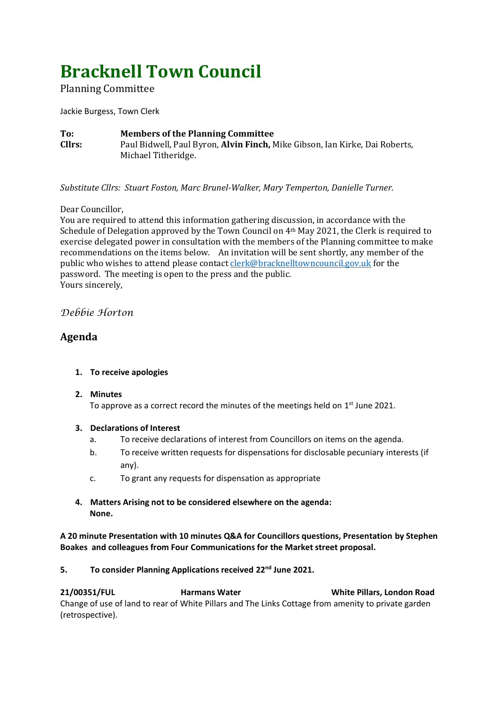# **Bracknell Town Council**

Planning Committee

Jackie Burgess, Town Clerk

**To: Members of the Planning Committee Cllrs:** Paul Bidwell, Paul Byron, **Alvin Finch,** Mike Gibson, Ian Kirke, Dai Roberts, Michael Titheridge.

*Substitute Cllrs: Stuart Foston, Marc Brunel-Walker, Mary Temperton, Danielle Turner.*

## Dear Councillor,

You are required to attend this information gathering discussion, in accordance with the Schedule of Delegation approved by the Town Council on 4th May 2021, the Clerk is required to exercise delegated power in consultation with the members of the Planning committee to make recommendations on the items below. An invitation will be sent shortly, any member of the public who wishes to attend please contac[t clerk@bracknelltowncouncil.gov.uk](mailto:clerk@bracknelltowncouncil.gov.uk) for the password. The meeting is open to the press and the public. Yours sincerely,

## *Debbie Horton*

# **Agenda**

## **1. To receive apologies**

## **2. Minutes**

To approve as a correct record the minutes of the meetings held on  $1<sup>st</sup>$  June 2021.

## **3. Declarations of Interest**

- a. To receive declarations of interest from Councillors on items on the agenda.
- b. To receive written requests for dispensations for disclosable pecuniary interests (if any).
- c. To grant any requests for dispensation as appropriate
- **4. Matters Arising not to be considered elsewhere on the agenda: None.**

**A 20 minute Presentation with 10 minutes Q&A for Councillors questions, Presentation by Stephen Boakes and colleagues from Four Communications for the Market street proposal.** 

## **5. To consider Planning Applications received 22nd June 2021.**

**21/00351/FUL Harmans Water White Pillars, London Road** Change of use of land to rear of White Pillars and The Links Cottage from amenity to private garden (retrospective).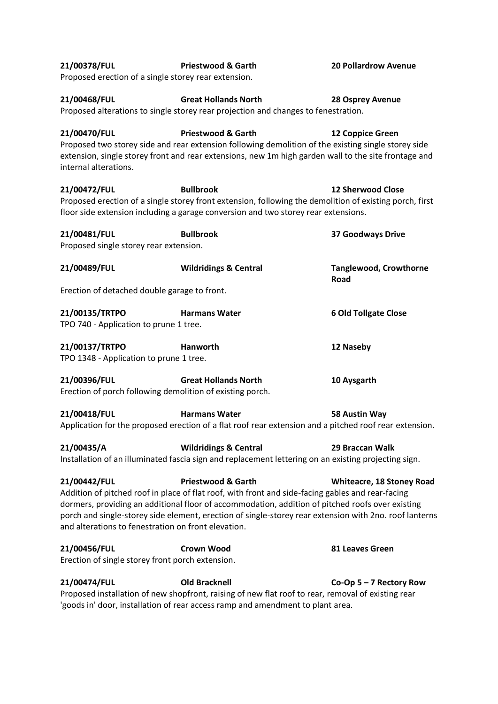| 21/00378/FUL<br>Proposed erection of a single storey rear extension.      | <b>20 Pollardrow Avenue</b>                                                                                                                                                                                                            |                                                                                                                                            |
|---------------------------------------------------------------------------|----------------------------------------------------------------------------------------------------------------------------------------------------------------------------------------------------------------------------------------|--------------------------------------------------------------------------------------------------------------------------------------------|
| 21/00468/FUL                                                              | <b>Great Hollands North</b><br>Proposed alterations to single storey rear projection and changes to fenestration.                                                                                                                      | 28 Osprey Avenue                                                                                                                           |
| 21/00470/FUL<br>internal alterations.                                     | <b>Priestwood &amp; Garth</b><br>Proposed two storey side and rear extension following demolition of the existing single storey side                                                                                                   | 12 Coppice Green<br>extension, single storey front and rear extensions, new 1m high garden wall to the site frontage and                   |
| 21/00472/FUL                                                              | <b>Bullbrook</b><br>floor side extension including a garage conversion and two storey rear extensions.                                                                                                                                 | <b>12 Sherwood Close</b><br>Proposed erection of a single storey front extension, following the demolition of existing porch, first        |
| 21/00481/FUL<br>Proposed single storey rear extension.                    | <b>Bullbrook</b>                                                                                                                                                                                                                       | <b>37 Goodways Drive</b>                                                                                                                   |
| 21/00489/FUL                                                              | <b>Wildridings &amp; Central</b>                                                                                                                                                                                                       | <b>Tanglewood, Crowthorne</b><br>Road                                                                                                      |
| Erection of detached double garage to front.                              |                                                                                                                                                                                                                                        |                                                                                                                                            |
| 21/00135/TRTPO<br>TPO 740 - Application to prune 1 tree.                  | <b>Harmans Water</b>                                                                                                                                                                                                                   | <b>6 Old Tollgate Close</b>                                                                                                                |
| 21/00137/TRTPO<br>TPO 1348 - Application to prune 1 tree.                 | Hanworth                                                                                                                                                                                                                               | 12 Naseby                                                                                                                                  |
| 21/00396/FUL<br>Erection of porch following demolition of existing porch. | <b>Great Hollands North</b>                                                                                                                                                                                                            | 10 Aysgarth                                                                                                                                |
| 21/00418/FUL                                                              | <b>Harmans Water</b>                                                                                                                                                                                                                   | 58 Austin Way<br>Application for the proposed erection of a flat roof rear extension and a pitched roof rear extension.                    |
| 21/00435/A                                                                | <b>Wildridings &amp; Central</b><br>Installation of an illuminated fascia sign and replacement lettering on an existing projecting sign.                                                                                               | 29 Braccan Walk                                                                                                                            |
| 21/00442/FUL<br>and alterations to fenestration on front elevation.       | <b>Priestwood &amp; Garth</b><br>Addition of pitched roof in place of flat roof, with front and side-facing gables and rear-facing<br>dormers, providing an additional floor of accommodation, addition of pitched roofs over existing | <b>Whiteacre, 18 Stoney Road</b><br>porch and single-storey side element, erection of single-storey rear extension with 2no. roof lanterns |
| 21/00456/FUL<br>Erection of single storey front porch extension.          | <b>Crown Wood</b>                                                                                                                                                                                                                      | 81 Leaves Green                                                                                                                            |
| 21/00474/FUL                                                              | <b>Old Bracknell</b><br>Proposed installation of new shopfront, raising of new flat roof to rear, removal of existing rear<br>'goods in' door, installation of rear access ramp and amendment to plant area.                           | Co-Op $5 - 7$ Rectory Row                                                                                                                  |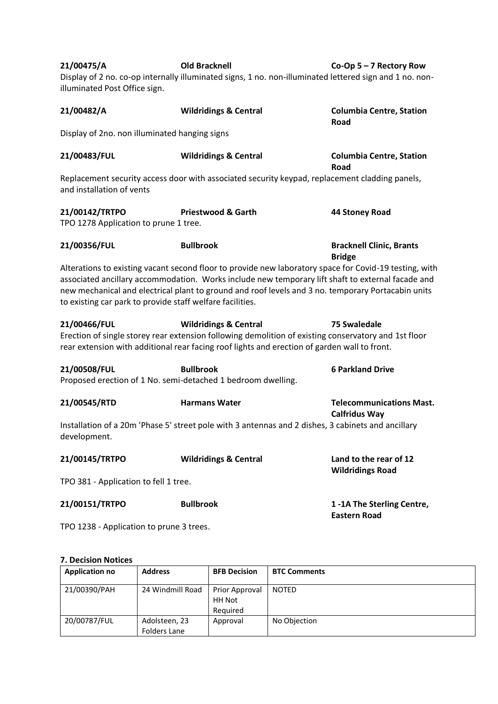| 21/00475/A<br>illuminated Post Office sign.                                                                                 | <b>Old Bracknell</b><br>Display of 2 no. co-op internally illuminated signs, 1 no. non-illuminated lettered sign and 1 no. non-                                                                                                                                                                                   | Co-Op $5 - 7$ Rectory Row                               |  |  |  |
|-----------------------------------------------------------------------------------------------------------------------------|-------------------------------------------------------------------------------------------------------------------------------------------------------------------------------------------------------------------------------------------------------------------------------------------------------------------|---------------------------------------------------------|--|--|--|
| 21/00482/A                                                                                                                  | <b>Wildridings &amp; Central</b>                                                                                                                                                                                                                                                                                  | <b>Columbia Centre, Station</b><br>Road                 |  |  |  |
| Display of 2no. non illuminated hanging signs                                                                               |                                                                                                                                                                                                                                                                                                                   |                                                         |  |  |  |
| <b>Wildridings &amp; Central</b><br>21/00483/FUL                                                                            |                                                                                                                                                                                                                                                                                                                   | <b>Columbia Centre, Station</b><br>Road                 |  |  |  |
| Replacement security access door with associated security keypad, replacement cladding panels,<br>and installation of vents |                                                                                                                                                                                                                                                                                                                   |                                                         |  |  |  |
| 21/00142/TRTPO<br><b>Priestwood &amp; Garth</b><br>TPO 1278 Application to prune 1 tree.                                    |                                                                                                                                                                                                                                                                                                                   | 44 Stoney Road                                          |  |  |  |
| 21/00356/FUL                                                                                                                | <b>Bullbrook</b>                                                                                                                                                                                                                                                                                                  | <b>Bracknell Clinic, Brants</b><br><b>Bridge</b>        |  |  |  |
| to existing car park to provide staff welfare facilities.                                                                   | Alterations to existing vacant second floor to provide new laboratory space for Covid-19 testing, with<br>associated ancillary accommodation. Works include new temporary lift shaft to external facade and<br>new mechanical and electrical plant to ground and roof levels and 3 no. temporary Portacabin units |                                                         |  |  |  |
| 21/00466/FUL                                                                                                                | <b>Wildridings &amp; Central</b><br>Erection of single storey rear extension following demolition of existing conservatory and 1st floor<br>rear extension with additional rear facing roof lights and erection of garden wall to front.                                                                          | <b>75 Swaledale</b>                                     |  |  |  |
| 21/00508/FUL                                                                                                                | <b>Bullbrook</b><br>Proposed erection of 1 No. semi-detached 1 bedroom dwelling.                                                                                                                                                                                                                                  |                                                         |  |  |  |
| 21/00545/RTD                                                                                                                | <b>Harmans Water</b>                                                                                                                                                                                                                                                                                              | <b>Telecommunications Mast.</b><br><b>Calfridus Way</b> |  |  |  |
| development.                                                                                                                | Installation of a 20m 'Phase 5' street pole with 3 antennas and 2 dishes, 3 cabinets and ancillary                                                                                                                                                                                                                |                                                         |  |  |  |
| 21/00145/TRTPO                                                                                                              | <b>Wildridings &amp; Central</b>                                                                                                                                                                                                                                                                                  | Land to the rear of 12<br><b>Wildridings Road</b>       |  |  |  |
| TPO 381 - Application to fell 1 tree.                                                                                       |                                                                                                                                                                                                                                                                                                                   |                                                         |  |  |  |
| 21/00151/TRTPO                                                                                                              | <b>Bullbrook</b>                                                                                                                                                                                                                                                                                                  | 1-1A The Sterling Centre,<br><b>Eastern Road</b>        |  |  |  |
| TPO 1238 - Application to prune 3 trees.                                                                                    |                                                                                                                                                                                                                                                                                                                   |                                                         |  |  |  |

#### **7. Decision Notices**

| <b>Application no</b> | <b>Address</b>                | <b>BFB Decision</b>                         | <b>BTC Comments</b> |
|-----------------------|-------------------------------|---------------------------------------------|---------------------|
| 21/00390/PAH          | 24 Windmill Road              | Prior Approval<br><b>HH Not</b><br>Required | <b>NOTED</b>        |
| 20/00787/FUL          | Adolsteen, 23<br>Folders Lane | Approval                                    | No Objection        |